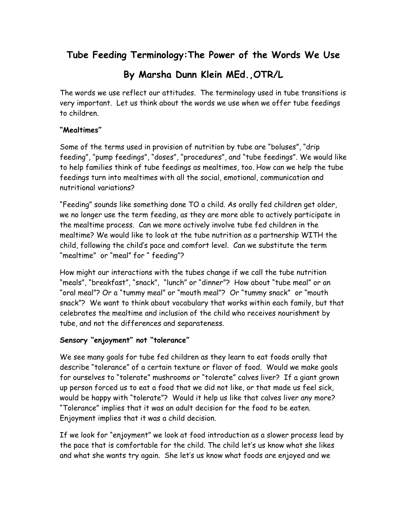## **Tube Feeding Terminology:The Power of the Words We Use**

# **By Marsha Dunn Klein MEd.,OTR/L**

The words we use reflect our attitudes. The terminology used in tube transitions is very important. Let us think about the words we use when we offer tube feedings to children.

#### **"Mealtimes"**

Some of the terms used in provision of nutrition by tube are "boluses", "drip feeding", "pump feedings", "doses", "procedures", and "tube feedings". We would like to help families think of tube feedings as mealtimes, too. How can we help the tube feedings turn into mealtimes with all the social, emotional, communication and nutritional variations?

"Feeding" sounds like something done TO a child. As orally fed children get older, we no longer use the term feeding, as they are more able to actively participate in the mealtime process. Can we more actively involve tube fed children in the mealtime? We would like to look at the tube nutrition as a partnership WITH the child, following the child's pace and comfort level. Can we substitute the term "mealtime" or "meal" for " feeding"?

How might our interactions with the tubes change if we call the tube nutrition "meals", "breakfast", "snack", "lunch" or "dinner"? How about "tube meal" or an "oral meal"? Or a "tummy meal" or "mouth meal"? Or "tummy snack" or "mouth snack"? We want to think about vocabulary that works within each family, but that celebrates the mealtime and inclusion of the child who receives nourishment by tube, and not the differences and separateness.

#### **Sensory "enjoyment" not "tolerance"**

We see many goals for tube fed children as they learn to eat foods orally that describe "tolerance" of a certain texture or flavor of food. Would we make goals for ourselves to "tolerate" mushrooms or "tolerate" calves liver? If a giant grown up person forced us to eat a food that we did not like, or that made us feel sick, would be happy with "tolerate"? Would it help us like that calves liver any more? "Tolerance" implies that it was an adult decision for the food to be eaten. Enjoyment implies that it was a child decision.

If we look for "enjoyment" we look at food introduction as a slower process lead by the pace that is comfortable for the child. The child let's us know what she likes and what she wants try again. She let's us know what foods are enjoyed and we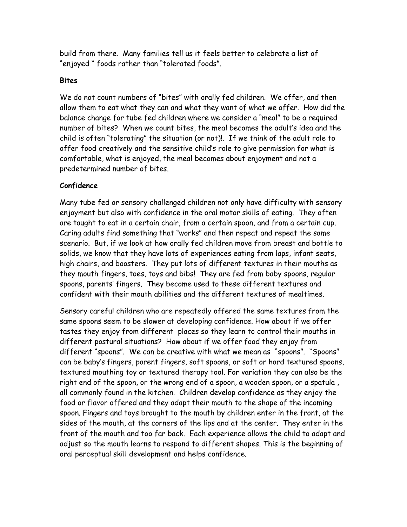build from there. Many families tell us it feels better to celebrate a list of "enjoyed " foods rather than "tolerated foods".

#### **Bites**

We do not count numbers of "bites" with orally fed children. We offer, and then allow them to eat what they can and what they want of what we offer. How did the balance change for tube fed children where we consider a "meal" to be a required number of bites? When we count bites, the meal becomes the adult's idea and the child is often "tolerating" the situation (or not)!. If we think of the adult role to offer food creatively and the sensitive child's role to give permission for what is comfortable, what is enjoyed, the meal becomes about enjoyment and not a predetermined number of bites.

### **Confidence**

Many tube fed or sensory challenged children not only have difficulty with sensory enjoyment but also with confidence in the oral motor skills of eating. They often are taught to eat in a certain chair, from a certain spoon, and from a certain cup. Caring adults find something that "works" and then repeat and repeat the same scenario. But, if we look at how orally fed children move from breast and bottle to solids, we know that they have lots of experiences eating from laps, infant seats, high chairs, and boosters. They put lots of different textures in their mouths as they mouth fingers, toes, toys and bibs! They are fed from baby spoons, regular spoons, parents' fingers. They become used to these different textures and confident with their mouth abilities and the different textures of mealtimes.

Sensory careful children who are repeatedly offered the same textures from the same spoons seem to be slower at developing confidence. How about if we offer tastes they enjoy from different places so they learn to control their mouths in different postural situations? How about if we offer food they enjoy from different "spoons". We can be creative with what we mean as "spoons". "Spoons" can be baby's fingers, parent fingers, soft spoons, or soft or hard textured spoons, textured mouthing toy or textured therapy tool. For variation they can also be the right end of the spoon, or the wrong end of a spoon, a wooden spoon, or a spatula , all commonly found in the kitchen. Children develop confidence as they enjoy the food or flavor offered and they adapt their mouth to the shape of the incoming spoon. Fingers and toys brought to the mouth by children enter in the front, at the sides of the mouth, at the corners of the lips and at the center. They enter in the front of the mouth and too far back. Each experience allows the child to adapt and adjust so the mouth learns to respond to different shapes. This is the beginning of oral perceptual skill development and helps confidence.